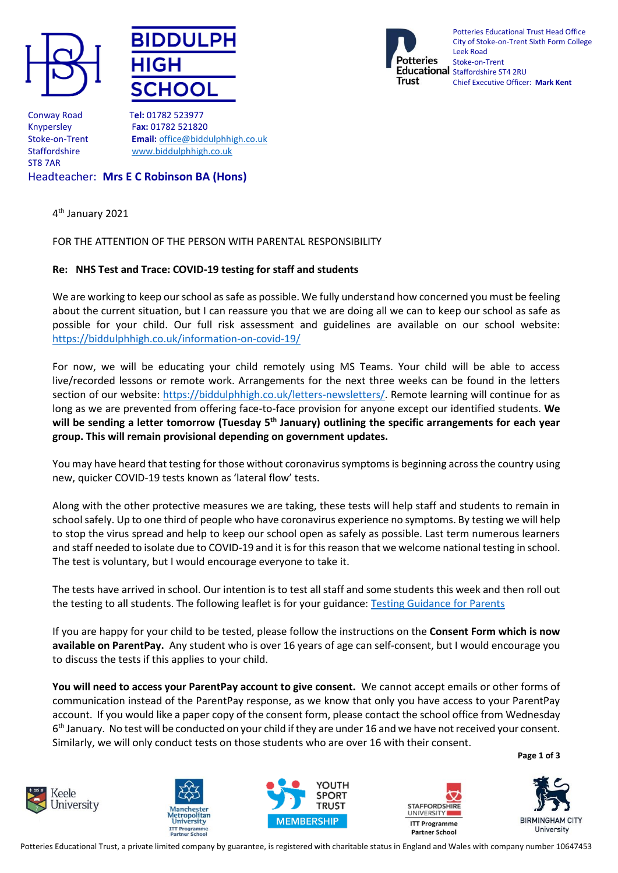





Potteries Educational Trust Head Office City of Stoke-on-Trent Sixth Form College Leek Road Stoke-on-Trent Educational Staffordshire ST4 2RU Chief Executive Officer: **Mark Kent**

Conway Road T**el:** 01782 523977 ST8 7AR

Knypersley F**ax:** 01782 521820 Stoke-on-Trent **Email:** [office@biddulphhigh.co.uk](mailto:office@biddulphhigh.co.uk) Staffordshire [www.biddulphhigh.co.uk](http://www.biddulphhigh.co.uk/) 

# Headteacher: **Mrs E C Robinson BA (Hons)**

4 th January 2021

## FOR THE ATTENTION OF THE PERSON WITH PARENTAL RESPONSIBILITY

## **Re: NHS Test and Trace: COVID-19 testing for staff and students**

We are working to keep our school as safe as possible. We fully understand how concerned you must be feeling about the current situation, but I can reassure you that we are doing all we can to keep our school as safe as possible for your child. Our full risk assessment and guidelines are available on our school website: <https://biddulphhigh.co.uk/information-on-covid-19/>

For now, we will be educating your child remotely using MS Teams. Your child will be able to access live/recorded lessons or remote work. Arrangements for the next three weeks can be found in the letters section of our website: [https://biddulphhigh.co.uk/letters-newsletters/.](https://biddulphhigh.co.uk/letters-newsletters/) Remote learning will continue for as long as we are prevented from offering face-to-face provision for anyone except our identified students. **We will be sending a letter tomorrow (Tuesday 5th January) outlining the specific arrangements for each year group. This will remain provisional depending on government updates.**

You may have heard that testing for those without coronavirus symptoms is beginning across the country using new, quicker COVID-19 tests known as 'lateral flow' tests.

Along with the other protective measures we are taking, these tests will help staff and students to remain in school safely. Up to one third of people who have coronavirus experience no symptoms. By testing we will help to stop the virus spread and help to keep our school open as safely as possible. Last term numerous learners and staff needed to isolate due to COVID-19 and it is for this reason that we welcome national testing in school. The test is voluntary, but I would encourage everyone to take it.

The tests have arrived in school. Our intention is to test all staff and some students this week and then roll out the testing to all students. The following leaflet is for your guidance: [Testing Guidance for Parents](https://assets.publishing.service.gov.uk/government/uploads/system/uploads/attachment_data/file/946612/How_to_do_your_test_COVID_19_instruction_leaflet_for_schools.pdf)

If you are happy for your child to be tested, please follow the instructions on the **Consent Form which is now available on ParentPay.** Any student who is over 16 years of age can self-consent, but I would encourage you to discuss the tests if this applies to your child.

**You will need to access your ParentPay account to give consent.** We cannot accept emails or other forms of communication instead of the ParentPay response, as we know that only you have access to your ParentPay account. If you would like a paper copy of the consent form, please contact the school office from Wednesday 6<sup>th</sup> January. No test will be conducted on your child if they are under 16 and we have not received your consent. Similarly, we will only conduct tests on those students who are over 16 with their consent.

**Page 1 of 3**











Potteries Educational Trust, a private limited company by guarantee, is registered with charitable status in England and Wales with company number 10647453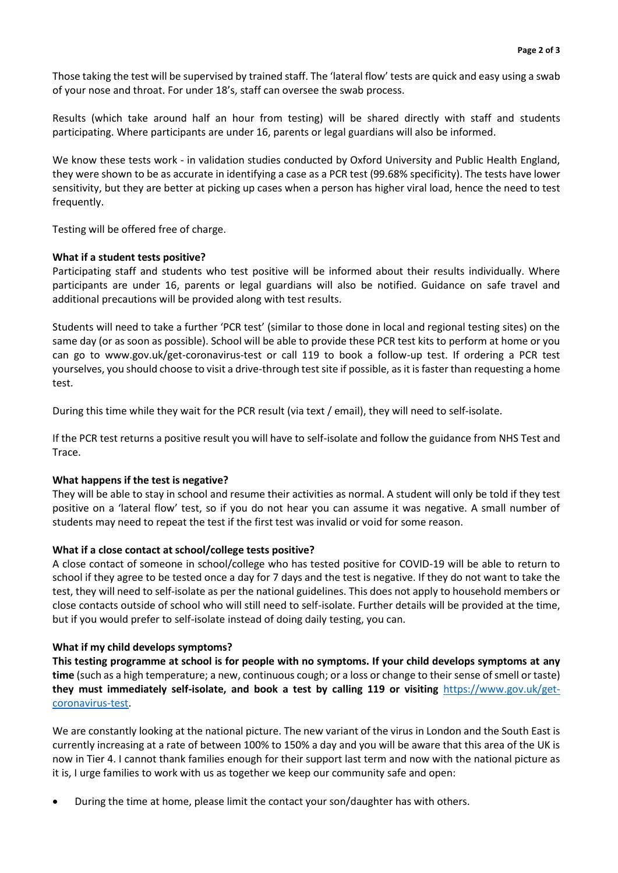Those taking the test will be supervised by trained staff. The 'lateral flow' tests are quick and easy using a swab of your nose and throat. For under 18's, staff can oversee the swab process.

Results (which take around half an hour from testing) will be shared directly with staff and students participating. Where participants are under 16, parents or legal guardians will also be informed.

We know these tests work - in validation studies conducted by Oxford University and Public Health England, they were shown to be as accurate in identifying a case as a PCR test (99.68% specificity). The tests have lower sensitivity, but they are better at picking up cases when a person has higher viral load, hence the need to test frequently.

Testing will be offered free of charge.

### **What if a student tests positive?**

Participating staff and students who test positive will be informed about their results individually. Where participants are under 16, parents or legal guardians will also be notified. Guidance on safe travel and additional precautions will be provided along with test results.

Students will need to take a further 'PCR test' (similar to those done in local and regional testing sites) on the same day (or as soon as possible). School will be able to provide these PCR test kits to perform at home or you can go to www.gov.uk/get-coronavirus-test or call 119 to book a follow-up test. If ordering a PCR test yourselves, you should choose to visit a drive-through test site if possible, as it is faster than requesting a home test.

During this time while they wait for the PCR result (via text / email), they will need to self-isolate.

If the PCR test returns a positive result you will have to self-isolate and follow the guidance from NHS Test and Trace.

### **What happens if the test is negative?**

They will be able to stay in school and resume their activities as normal. A student will only be told if they test positive on a 'lateral flow' test, so if you do not hear you can assume it was negative. A small number of students may need to repeat the test if the first test was invalid or void for some reason.

### **What if a close contact at school/college tests positive?**

A close contact of someone in school/college who has tested positive for COVID-19 will be able to return to school if they agree to be tested once a day for 7 days and the test is negative. If they do not want to take the test, they will need to self-isolate as per the national guidelines. This does not apply to household members or close contacts outside of school who will still need to self-isolate. Further details will be provided at the time, but if you would prefer to self-isolate instead of doing daily testing, you can.

#### **What if my child develops symptoms?**

**This testing programme at school is for people with no symptoms. If your child develops symptoms at any time** (such as a high temperature; a new, continuous cough; or a loss or change to their sense of smell or taste) **they must immediately self-isolate, and book a test by calling 119 or visiting** [https://www.gov.uk/get](https://www.gov.uk/get-coronavirus-test)[coronavirus-test.](https://www.gov.uk/get-coronavirus-test)

We are constantly looking at the national picture. The new variant of the virus in London and the South East is currently increasing at a rate of between 100% to 150% a day and you will be aware that this area of the UK is now in Tier 4. I cannot thank families enough for their support last term and now with the national picture as it is, I urge families to work with us as together we keep our community safe and open:

During the time at home, please limit the contact your son/daughter has with others.